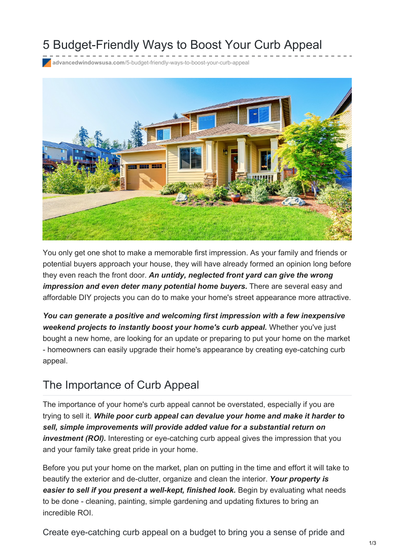# 5 Budget-Friendly Ways to Boost Your Curb Appeal

**advancedwindowsusa.com**[/5-budget-friendly-ways-to-boost-your-curb-appeal](https://advancedwindowsusa.com/5-budget-friendly-ways-to-boost-your-curb-appeal)



You only get one shot to make a memorable first impression. As your family and friends or potential buyers approach your house, they will have already formed an opinion long before they even reach the front door. *An untidy, neglected front yard can give the wrong impression and even deter many potential home buyers.* There are several easy and affordable DIY projects you can do to make your home's street appearance more attractive.

*You can generate a positive and welcoming first impression with a few inexpensive weekend projects to instantly boost your home's curb appeal.* Whether you've just bought a new home, are looking for an update or preparing to put your home on the market - homeowners can easily upgrade their home's appearance by creating eye-catching curb appeal.

#### The Importance of Curb Appeal

The importance of your home's curb appeal cannot be overstated, especially if you are trying to sell it. *While poor curb appeal can devalue your home and make it harder to sell, simple improvements will provide added value for a substantial return on investment (ROI).* Interesting or eye-catching curb appeal gives the impression that you and your family take great pride in your home.

Before you put your home on the market, plan on putting in the time and effort it will take to beautify the exterior and de-clutter, organize and clean the interior. *Your property is easier to sell if you present a well-kept, finished look.* Begin by evaluating what needs to be done - cleaning, painting, simple gardening and updating fixtures to bring an incredible ROI.

Create eye-catching curb appeal on a budget to bring you a sense of pride and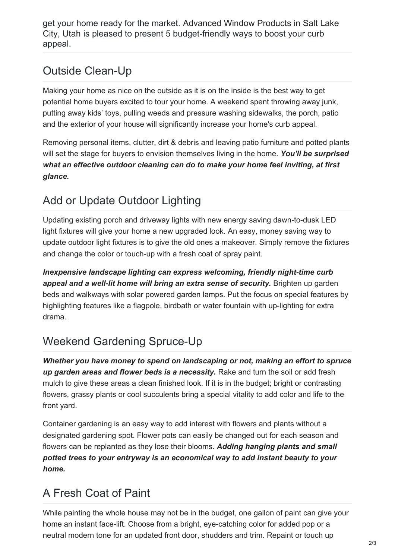get your home ready for the market. Advanced Window Products in Salt Lake City, Utah is pleased to present 5 [budget-friendly](https://advancedwindowsusa.com/products) ways to boost your curb appeal.

#### Outside Clean-Up

Making your home as nice on the outside as it is on the inside is the best way to get potential home buyers excited to tour your home. A weekend spent throwing away junk, putting away kids' toys, pulling weeds and pressure washing sidewalks, the porch, patio and the exterior of your house will significantly increase your home's curb appeal.

Removing personal items, clutter, dirt & debris and leaving patio furniture and potted plants will set the stage for buyers to envision themselves living in the home. *You'll be surprised what an effective outdoor cleaning can do to make your home feel inviting, at first glance.*

## Add or Update Outdoor Lighting

Updating existing porch and driveway lights with new energy saving dawn-to-dusk LED light fixtures will give your home a new upgraded look. An easy, money saving way to update outdoor light fixtures is to give the old ones a makeover. Simply remove the fixtures and change the color or touch-up with a fresh coat of spray paint.

*Inexpensive landscape lighting can express welcoming, friendly night-time curb appeal and a well-lit home will bring an extra sense of security.* Brighten up garden beds and walkways with solar powered garden lamps. Put the focus on special features by highlighting features like a flagpole, birdbath or water fountain with up-lighting for extra drama.

### Weekend Gardening Spruce-Up

*Whether you have money to spend on landscaping or not, making an effort to spruce up garden areas and flower beds is a necessity.* Rake and turn the soil or add fresh mulch to give these areas a clean finished look. If it is in the budget; bright or contrasting flowers, grassy plants or cool succulents bring a special vitality to add color and life to the front yard.

Container gardening is an easy way to add interest with flowers and plants without a designated gardening spot. Flower pots can easily be changed out for each season and flowers can be replanted as they lose their blooms. *Adding hanging plants and small potted trees to your entryway is an economical way to add instant beauty to your home.*

### A Fresh Coat of Paint

While painting the whole house may not be in the budget, one gallon of paint can give your home an instant face-lift. Choose from a bright, eye-catching color for added pop or a neutral modern tone for an updated front door, shudders and trim. Repaint or touch up